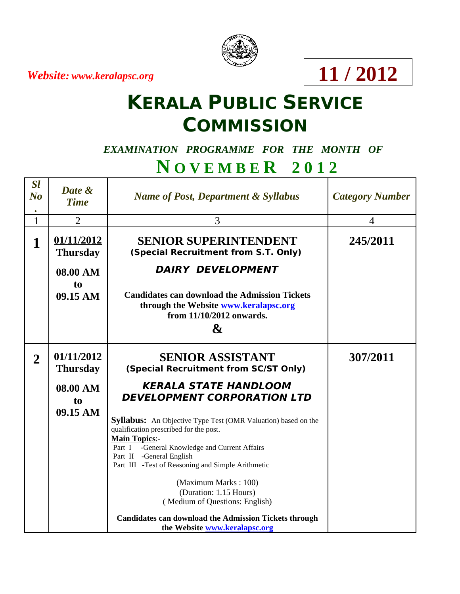*Website: www.keralapsc.org*



**11 / 2012**

# **KERALA PUBLIC SERVICE COMMISSION**

### *EXAMINATION PROGRAMME FOR THE MONTH OF*

### **N O V E M B E R 2 0 1 2**

| <b>Sl</b><br>No<br>$\bullet$ | Date &<br><b>Time</b>         | <b>Name of Post, Department &amp; Syllabus</b>                                                                                                                                                                                                                                                                                                               | <b>Category Number</b>   |
|------------------------------|-------------------------------|--------------------------------------------------------------------------------------------------------------------------------------------------------------------------------------------------------------------------------------------------------------------------------------------------------------------------------------------------------------|--------------------------|
| $\mathbf{1}$                 | $\overline{2}$                | 3                                                                                                                                                                                                                                                                                                                                                            | $\overline{\mathcal{A}}$ |
| 1                            | 01/11/2012<br><b>Thursday</b> | <b>SENIOR SUPERINTENDENT</b><br>(Special Recruitment from S.T. Only)                                                                                                                                                                                                                                                                                         | 245/2011                 |
|                              | 08.00 AM                      | <b>DAIRY DEVELOPMENT</b>                                                                                                                                                                                                                                                                                                                                     |                          |
|                              | t <sub>0</sub><br>09.15 AM    | <b>Candidates can download the Admission Tickets</b><br>through the Website www.keralapsc.org<br>from 11/10/2012 onwards.<br>$\mathbf{g}$                                                                                                                                                                                                                    |                          |
| $\overline{2}$               | 01/11/2012<br><b>Thursday</b> | <b>SENIOR ASSISTANT</b><br>(Special Recruitment from SC/ST Only)                                                                                                                                                                                                                                                                                             | 307/2011                 |
|                              | 08.00 AM<br>to                | <b>KERALA STATE HANDLOOM</b><br><b>DEVELOPMENT CORPORATION LTD</b>                                                                                                                                                                                                                                                                                           |                          |
|                              | 09.15 AM                      | <b>Syllabus:</b> An Objective Type Test (OMR Valuation) based on the<br>qualification prescribed for the post.<br><b>Main Topics:-</b><br>Part I -General Knowledge and Current Affairs<br>Part II -General English<br>Part III -Test of Reasoning and Simple Arithmetic<br>(Maximum Marks: 100)<br>(Duration: 1.15 Hours)<br>(Medium of Questions: English) |                          |
|                              |                               | <b>Candidates can download the Admission Tickets through</b><br>the Website www.keralapsc.org                                                                                                                                                                                                                                                                |                          |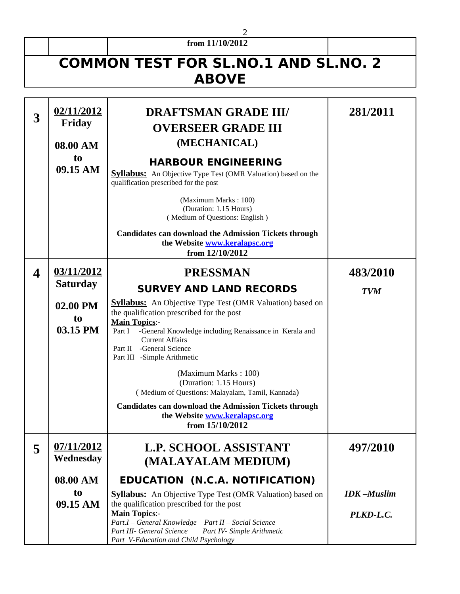#### **from 11/10/2012**

2

## **COMMON TEST FOR SL.NO.1 AND SL.NO. 2 ABOVE**

| 3 | 02/11/2012<br><b>Friday</b><br>08.00 AM<br>t <sub>0</sub><br>09.15 AM | <b>DRAFTSMAN GRADE III/</b><br><b>OVERSEER GRADE III</b><br>(MECHANICAL)<br><b>HARBOUR ENGINEERING</b><br><b>Syllabus:</b> An Objective Type Test (OMR Valuation) based on the<br>qualification prescribed for the post<br>(Maximum Marks: 100)<br>(Duration: 1.15 Hours)<br>(Medium of Questions: English)<br><b>Candidates can download the Admission Tickets through</b><br>the Website www.keralapsc.org<br>from 12/10/2012                                                                                                                                               | 281/2011                                   |
|---|-----------------------------------------------------------------------|-------------------------------------------------------------------------------------------------------------------------------------------------------------------------------------------------------------------------------------------------------------------------------------------------------------------------------------------------------------------------------------------------------------------------------------------------------------------------------------------------------------------------------------------------------------------------------|--------------------------------------------|
| 4 | 03/11/2012<br><b>Saturday</b><br>02.00 PM<br>to<br>03.15 PM           | <b>PRESSMAN</b><br><b>SURVEY AND LAND RECORDS</b><br><b>Syllabus:</b> An Objective Type Test (OMR Valuation) based on<br>the qualification prescribed for the post<br><b>Main Topics:-</b><br>-General Knowledge including Renaissance in Kerala and<br>Part I<br><b>Current Affairs</b><br>Part II -General Science<br>Part III -Simple Arithmetic<br>(Maximum Marks: 100)<br>(Duration: 1.15 Hours)<br>(Medium of Questions: Malayalam, Tamil, Kannada)<br><b>Candidates can download the Admission Tickets through</b><br>the Website www.keralapsc.org<br>from 15/10/2012 | 483/2010<br><b>TVM</b>                     |
| 5 | 07/11/2012<br>Wednesday<br>08.00 AM<br>to<br>09.15 AM                 | <b>L.P. SCHOOL ASSISTANT</b><br>(MALAYALAM MEDIUM)<br><b>EDUCATION (N.C.A. NOTIFICATION)</b><br><b>Syllabus:</b> An Objective Type Test (OMR Valuation) based on<br>the qualification prescribed for the post<br><b>Main Topics:-</b><br>Part.I - General Knowledge  Part II - Social Science<br>Part III- General Science<br>Part IV- Simple Arithmetic<br>Part V-Education and Child Psychology                                                                                                                                                                             | 497/2010<br><b>IDK-Muslim</b><br>PLKD-L.C. |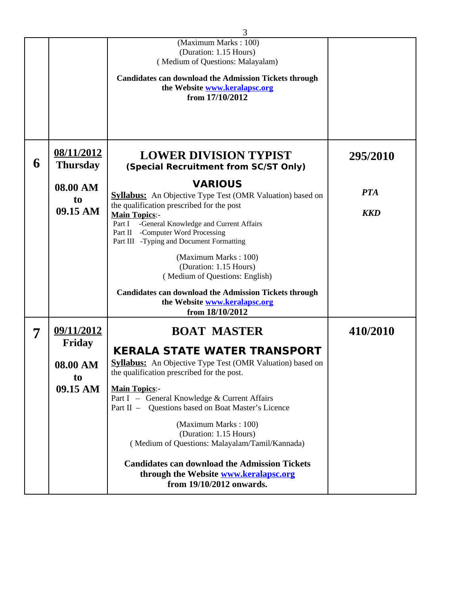|   |                 | 3                                                                                                  |            |
|---|-----------------|----------------------------------------------------------------------------------------------------|------------|
|   |                 | (Maximum Marks: 100)                                                                               |            |
|   |                 | (Duration: 1.15 Hours)<br>(Medium of Questions: Malayalam)                                         |            |
|   |                 |                                                                                                    |            |
|   |                 | <b>Candidates can download the Admission Tickets through</b><br>the Website www.keralapsc.org      |            |
|   |                 | from 17/10/2012                                                                                    |            |
|   |                 |                                                                                                    |            |
|   |                 |                                                                                                    |            |
|   |                 |                                                                                                    |            |
|   | 08/11/2012      |                                                                                                    |            |
| 6 | <b>Thursday</b> | <b>LOWER DIVISION TYPIST</b>                                                                       | 295/2010   |
|   |                 | (Special Recruitment from SC/ST Only)                                                              |            |
|   | 08.00 AM        | <b>VARIOUS</b>                                                                                     |            |
|   | t <sub>0</sub>  | <b>Syllabus:</b> An Objective Type Test (OMR Valuation) based on                                   | <b>PTA</b> |
|   | 09.15 AM        | the qualification prescribed for the post<br><b>Main Topics:-</b>                                  | <b>KKD</b> |
|   |                 | Part I -General Knowledge and Current Affairs                                                      |            |
|   |                 | Part II -Computer Word Processing<br>Part III -Typing and Document Formatting                      |            |
|   |                 |                                                                                                    |            |
|   |                 | (Maximum Marks: 100)<br>(Duration: 1.15 Hours)                                                     |            |
|   |                 | (Medium of Questions: English)                                                                     |            |
|   |                 | <b>Candidates can download the Admission Tickets through</b>                                       |            |
|   |                 | the Website www.keralapsc.org                                                                      |            |
|   |                 | from 18/10/2012                                                                                    |            |
| 7 | 09/11/2012      | <b>BOAT MASTER</b>                                                                                 | 410/2010   |
|   | <b>Friday</b>   |                                                                                                    |            |
|   |                 | <b>KERALA STATE WATER TRANSPORT</b>                                                                |            |
|   | 08.00 AM        | <b>Syllabus:</b> An Objective Type Test (OMR Valuation) based on                                   |            |
|   | to              | the qualification prescribed for the post.                                                         |            |
|   | 09.15 AM        | <b>Main Topics:-</b>                                                                               |            |
|   |                 | Part I - General Knowledge & Current Affairs<br>Part II - Questions based on Boat Master's Licence |            |
|   |                 |                                                                                                    |            |
|   |                 | (Maximum Marks: 100)<br>(Duration: 1.15 Hours)                                                     |            |
|   |                 | (Medium of Questions: Malayalam/Tamil/Kannada)                                                     |            |
|   |                 |                                                                                                    |            |
|   |                 | <b>Candidates can download the Admission Tickets</b><br>through the Website www.keralapsc.org      |            |
|   |                 | from 19/10/2012 onwards.                                                                           |            |
|   |                 |                                                                                                    |            |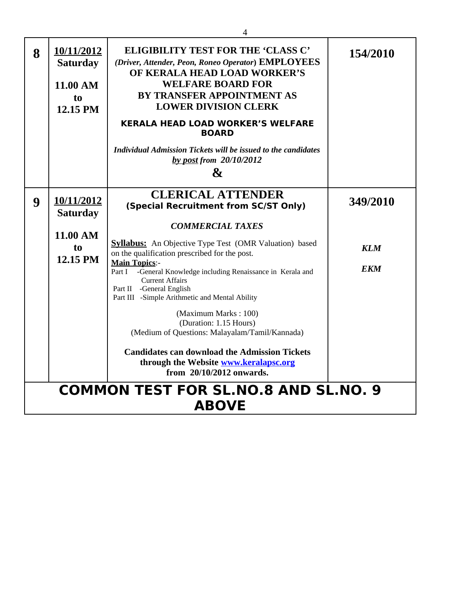|   |                                                             | 4                                                                                                                                                                                                                                                                                                                                                                                                                                                                                                                                                                                                                                                   |                                      |  |
|---|-------------------------------------------------------------|-----------------------------------------------------------------------------------------------------------------------------------------------------------------------------------------------------------------------------------------------------------------------------------------------------------------------------------------------------------------------------------------------------------------------------------------------------------------------------------------------------------------------------------------------------------------------------------------------------------------------------------------------------|--------------------------------------|--|
| 8 | 10/11/2012<br><b>Saturday</b><br>11.00 AM<br>to<br>12.15 PM | <b>ELIGIBILITY TEST FOR THE 'CLASS C'</b><br>(Driver, Attender, Peon, Roneo Operator) EMPLOYEES<br>OF KERALA HEAD LOAD WORKER'S<br><b>WELFARE BOARD FOR</b><br><b>BY TRANSFER APPOINTMENT AS</b><br><b>LOWER DIVISION CLERK</b><br><b>KERALA HEAD LOAD WORKER'S WELFARE</b><br><b>BOARD</b><br><b>Individual Admission Tickets will be issued to the candidates</b><br>by post from $20/10/2012$<br>&                                                                                                                                                                                                                                               | 154/2010                             |  |
| 9 | 10/11/2012<br><b>Saturday</b><br>11.00 AM<br>to<br>12.15 PM | <b>CLERICAL ATTENDER</b><br>(Special Recruitment from SC/ST Only)<br><b>COMMERCIAL TAXES</b><br><b>Syllabus:</b> An Objective Type Test (OMR Valuation) based<br>on the qualification prescribed for the post.<br><b>Main Topics:-</b><br>Part I<br>-General Knowledge including Renaissance in Kerala and<br><b>Current Affairs</b><br>Part II -General English<br>Part III -Simple Arithmetic and Mental Ability<br>(Maximum Marks: 100)<br>(Duration: 1.15 Hours)<br>(Medium of Questions: Malayalam/Tamil/Kannada)<br><b>Candidates can download the Admission Tickets</b><br>through the Website www.keralapsc.org<br>from 20/10/2012 onwards. | 349/2010<br><b>KLM</b><br><b>EKM</b> |  |
|   | <b>COMMON TEST FOR SL.NO.8 AND SL.NO. 9</b><br><b>ABOVE</b> |                                                                                                                                                                                                                                                                                                                                                                                                                                                                                                                                                                                                                                                     |                                      |  |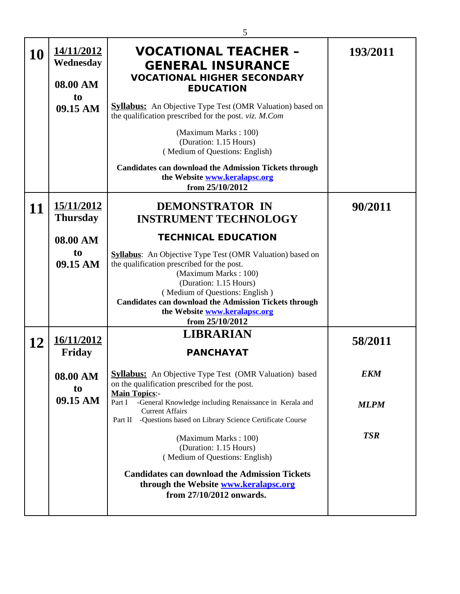|           |                                     | 5                                                                                                                                      |             |
|-----------|-------------------------------------|----------------------------------------------------------------------------------------------------------------------------------------|-------------|
| <b>10</b> | 14/11/2012<br>Wednesday<br>08.00 AM | <b>VOCATIONAL TEACHER -</b><br><b>GENERAL INSURANCE</b><br><b>VOCATIONAL HIGHER SECONDARY</b><br><b>EDUCATION</b>                      | 193/2011    |
|           | t <sub>0</sub>                      |                                                                                                                                        |             |
|           | 09.15 AM                            | <b>Syllabus:</b> An Objective Type Test (OMR Valuation) based on<br>the qualification prescribed for the post. viz. M.Com              |             |
|           |                                     | (Maximum Marks: 100)<br>(Duration: 1.15 Hours)<br>(Medium of Questions: English)                                                       |             |
|           |                                     | <b>Candidates can download the Admission Tickets through</b><br>the Website www.keralapsc.org<br>from 25/10/2012                       |             |
|           | 15/11/2012                          | <b>DEMONSTRATOR IN</b>                                                                                                                 | 90/2011     |
| 11        | <b>Thursday</b>                     | <b>INSTRUMENT TECHNOLOGY</b>                                                                                                           |             |
|           |                                     |                                                                                                                                        |             |
|           | 08.00 AM                            | <b>TECHNICAL EDUCATION</b>                                                                                                             |             |
|           | to                                  | <b>Syllabus:</b> An Objective Type Test (OMR Valuation) based on                                                                       |             |
|           | 09.15 AM                            | the qualification prescribed for the post.                                                                                             |             |
|           |                                     | (Maximum Marks: 100)                                                                                                                   |             |
|           |                                     | (Duration: 1.15 Hours)<br>(Medium of Questions: English)                                                                               |             |
|           |                                     | <b>Candidates can download the Admission Tickets through</b>                                                                           |             |
|           |                                     | the Website www.keralapsc.org                                                                                                          |             |
|           |                                     | from 25/10/2012                                                                                                                        |             |
| 12        | 16/11/2012                          | <b>LIBRARIAN</b>                                                                                                                       | 58/2011     |
|           | <b>Friday</b>                       | <b>PANCHAYAT</b>                                                                                                                       |             |
|           | 08.00 AM<br>t <sub>0</sub>          | <b>Syllabus:</b> An Objective Type Test (OMR Valuation) based<br>on the qualification prescribed for the post.<br><b>Main Topics:-</b> | EKM         |
|           | 09.15 AM                            | -General Knowledge including Renaissance in Kerala and<br>Part I<br><b>Current Affairs</b>                                             | <b>MLPM</b> |
|           |                                     | Part II -Questions based on Library Science Certificate Course                                                                         |             |
|           |                                     | (Maximum Marks: 100)<br>(Duration: 1.15 Hours)<br>(Medium of Questions: English)                                                       | <b>TSR</b>  |
|           |                                     | <b>Candidates can download the Admission Tickets</b><br>through the Website www.keralapsc.org<br>from 27/10/2012 onwards.              |             |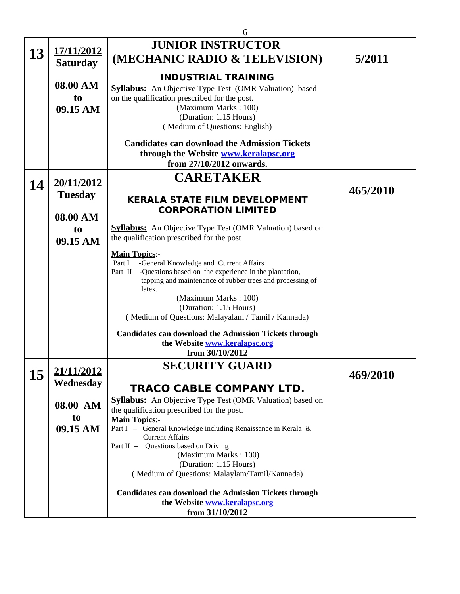|    |                                          | 6                                                                                                                                                                                                                                                                                                                           |          |
|----|------------------------------------------|-----------------------------------------------------------------------------------------------------------------------------------------------------------------------------------------------------------------------------------------------------------------------------------------------------------------------------|----------|
| 13 | 17/11/2012<br><b>Saturday</b>            | <b>JUNIOR INSTRUCTOR</b><br>(MECHANIC RADIO & TELEVISION)                                                                                                                                                                                                                                                                   | 5/2011   |
|    | 08.00 AM<br>t <sub>0</sub><br>09.15 AM   | <b>INDUSTRIAL TRAINING</b><br><b>Syllabus:</b> An Objective Type Test (OMR Valuation) based<br>on the qualification prescribed for the post.<br>(Maximum Marks: 100)<br>(Duration: 1.15 Hours)<br>(Medium of Questions: English)                                                                                            |          |
|    |                                          | <b>Candidates can download the Admission Tickets</b><br>through the Website www.keralapsc.org<br>from 27/10/2012 onwards.                                                                                                                                                                                                   |          |
| 14 | 20/11/2012<br><b>Tuesday</b><br>08.00 AM | <b>CARETAKER</b><br><b>KERALA STATE FILM DEVELOPMENT</b><br><b>CORPORATION LIMITED</b>                                                                                                                                                                                                                                      | 465/2010 |
|    | to<br>09.15 AM                           | <b>Syllabus:</b> An Objective Type Test (OMR Valuation) based on<br>the qualification prescribed for the post                                                                                                                                                                                                               |          |
|    |                                          | <b>Main Topics:-</b><br>-General Knowledge and Current Affairs<br>Part I<br>-Questions based on the experience in the plantation,<br>Part II<br>tapping and maintenance of rubber trees and processing of<br>latex.<br>(Maximum Marks: 100)<br>(Duration: 1.15 Hours)<br>(Medium of Questions: Malayalam / Tamil / Kannada) |          |
|    |                                          | <b>Candidates can download the Admission Tickets through</b><br>the Website www.keralapsc.org<br>from 30/10/2012                                                                                                                                                                                                            |          |
| 15 | 21/11/2012<br>Wednesday                  | <b>SECURITY GUARD</b><br>TRACO CABLE COMPANY LTD.                                                                                                                                                                                                                                                                           | 469/2010 |
|    | 08.00 AM<br>t <sub>0</sub>               | <b>Syllabus:</b> An Objective Type Test (OMR Valuation) based on<br>the qualification prescribed for the post.<br><b>Main Topics:-</b>                                                                                                                                                                                      |          |
|    | 09.15 AM                                 | Part I - General Knowledge including Renaissance in Kerala &<br><b>Current Affairs</b><br>Part II - Questions based on Driving<br>(Maximum Marks: 100)                                                                                                                                                                      |          |
|    |                                          | (Duration: 1.15 Hours)<br>(Medium of Questions: Malaylam/Tamil/Kannada)<br><b>Candidates can download the Admission Tickets through</b>                                                                                                                                                                                     |          |
|    |                                          | the Website www.keralapsc.org<br>from 31/10/2012                                                                                                                                                                                                                                                                            |          |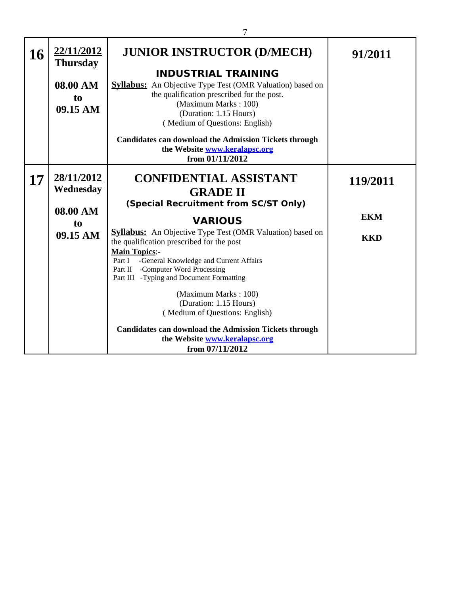| 16 | 22/11/2012<br><b>Thursday</b><br>08.00 AM<br>to<br>09.15 AM       | <b>JUNIOR INSTRUCTOR (D/MECH)</b><br><b>INDUSTRIAL TRAINING</b><br><b>Syllabus:</b> An Objective Type Test (OMR Valuation) based on<br>the qualification prescribed for the post.<br>(Maximum Marks: 100)<br>(Duration: 1.15 Hours)<br>(Medium of Questions: English)<br><b>Candidates can download the Admission Tickets through</b><br>the Website www.keralapsc.org<br>from 01/11/2012                                                                                                                                                                                                         | 91/2011                              |
|----|-------------------------------------------------------------------|---------------------------------------------------------------------------------------------------------------------------------------------------------------------------------------------------------------------------------------------------------------------------------------------------------------------------------------------------------------------------------------------------------------------------------------------------------------------------------------------------------------------------------------------------------------------------------------------------|--------------------------------------|
| 17 | 28/11/2012<br>Wednesday<br>08.00 AM<br>t <sub>0</sub><br>09.15 AM | <b>CONFIDENTIAL ASSISTANT</b><br><b>GRADE II</b><br>(Special Recruitment from SC/ST Only)<br><b>VARIOUS</b><br><b>Syllabus:</b> An Objective Type Test (OMR Valuation) based on<br>the qualification prescribed for the post<br><b>Main Topics:-</b><br>-General Knowledge and Current Affairs<br>Part I<br>Part II -Computer Word Processing<br>Part III -Typing and Document Formatting<br>(Maximum Marks: 100)<br>(Duration: 1.15 Hours)<br>(Medium of Questions: English)<br><b>Candidates can download the Admission Tickets through</b><br>the Website www.keralapsc.org<br>from 07/11/2012 | 119/2011<br><b>EKM</b><br><b>KKD</b> |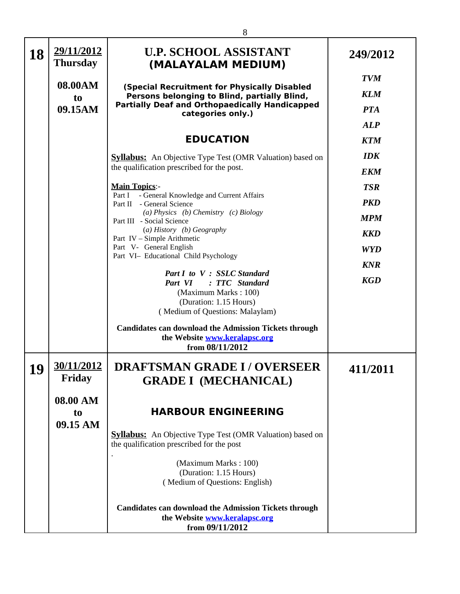| 18       | 29/11/2012<br><b>Thursday</b>          | <b>U.P. SCHOOL ASSISTANT</b><br>(MALAYALAM MEDIUM)                                                                                                                         | 249/2012                               |
|----------|----------------------------------------|----------------------------------------------------------------------------------------------------------------------------------------------------------------------------|----------------------------------------|
|          | 08.00AM<br>t <sub>o</sub><br>09.15AM   | (Special Recruitment for Physically Disabled<br>Persons belonging to Blind, partially Blind,<br><b>Partially Deaf and Orthopaedically Handicapped</b><br>categories only.) | <b>TVM</b><br><b>KLM</b><br><b>PTA</b> |
|          |                                        | <b>EDUCATION</b>                                                                                                                                                           | <b>ALP</b><br><b>KTM</b>               |
|          |                                        | <b>Syllabus:</b> An Objective Type Test (OMR Valuation) based on<br>the qualification prescribed for the post.                                                             | <b>IDK</b><br><b>EKM</b>               |
|          |                                        | <b>Main Topics:-</b><br>Part I - General Knowledge and Current Affairs<br>Part II - General Science<br>(a) Physics (b) Chemistry (c) Biology                               | <b>TSR</b><br><b>PKD</b>               |
|          |                                        | Part III - Social Science<br>(a) History (b) Geography<br>Part IV - Simple Arithmetic<br>Part V- General English                                                           | <b>MPM</b><br><b>KKD</b><br><b>WYD</b> |
|          |                                        | Part VI- Educational Child Psychology<br>Part I to V : SSLC Standard<br>Part VI : TTC Standard                                                                             | <b>KNR</b><br><b>KGD</b>               |
|          |                                        | (Maximum Marks: 100)<br>(Duration: 1.15 Hours)<br>(Medium of Questions: Malaylam)                                                                                          |                                        |
|          |                                        | <b>Candidates can download the Admission Tickets through</b><br>the Website www.keralapsc.org<br>from 08/11/2012                                                           |                                        |
| 19<br>≖∪ | 30/11/2012<br>Friday                   | <b>DRAFTSMAN GRADE I/OVERSEER</b><br><b>GRADE I (MECHANICAL)</b>                                                                                                           | 411/2011                               |
|          | 08.00 AM<br>t <sub>0</sub><br>09.15 AM | <b>HARBOUR ENGINEERING</b>                                                                                                                                                 |                                        |
|          |                                        | <b>Syllabus:</b> An Objective Type Test (OMR Valuation) based on<br>the qualification prescribed for the post                                                              |                                        |
|          |                                        | (Maximum Marks: 100)<br>(Duration: 1.15 Hours)<br>(Medium of Questions: English)                                                                                           |                                        |
|          |                                        | <b>Candidates can download the Admission Tickets through</b><br>the Website www.keralapsc.org<br>from 09/11/2012                                                           |                                        |